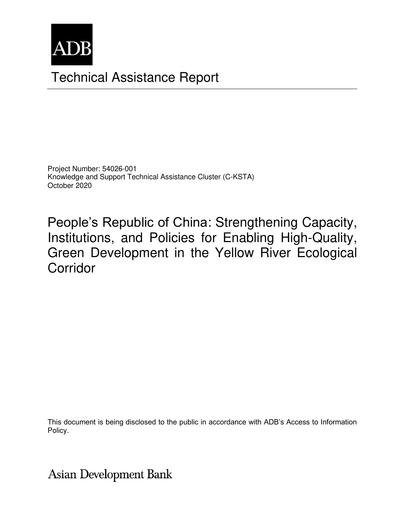

# Technical Assistance Report

Project Number: 54026-001 Knowledge and Support Technical Assistance Cluster (C-KSTA) October 2020

People's Republic of China: Strengthening Capacity, Institutions, and Policies for Enabling High-Quality, Green Development in the Yellow River Ecological Corridor

This document is being disclosed to the public in accordance with ADB's Access to Information Policy.

**Asian Development Bank**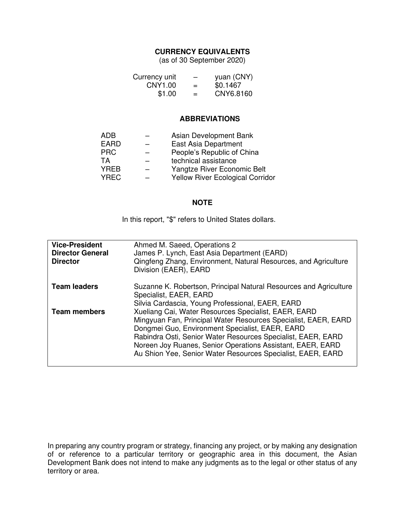## **CURRENCY EQUIVALENTS**

(as of 30 September 2020)

| Currency unit | -   | yuan (CNY) |
|---------------|-----|------------|
| CNY1.00       | $=$ | \$0.1467   |
| \$1.00        | $=$ | CNY6.8160  |

#### **ABBREVIATIONS**

| Asian Development Bank                  |
|-----------------------------------------|
| East Asia Department                    |
| People's Republic of China              |
| technical assistance                    |
| Yangtze River Economic Belt             |
| <b>Yellow River Ecological Corridor</b> |
|                                         |

#### **NOTE**

In this report, "\$" refers to United States dollars.

| <b>Vice-President</b><br><b>Director General</b><br><b>Director</b> | Ahmed M. Saeed, Operations 2<br>James P. Lynch, East Asia Department (EARD)<br>Qingfeng Zhang, Environment, Natural Resources, and Agriculture<br>Division (EAER), EARD                                                                                                                                                                                                                                                    |
|---------------------------------------------------------------------|----------------------------------------------------------------------------------------------------------------------------------------------------------------------------------------------------------------------------------------------------------------------------------------------------------------------------------------------------------------------------------------------------------------------------|
| <b>Team leaders</b>                                                 | Suzanne K. Robertson, Principal Natural Resources and Agriculture<br>Specialist, EAER, EARD                                                                                                                                                                                                                                                                                                                                |
| <b>Team members</b>                                                 | Silvia Cardascia, Young Professional, EAER, EARD<br>Xueliang Cai, Water Resources Specialist, EAER, EARD<br>Mingyuan Fan, Principal Water Resources Specialist, EAER, EARD<br>Dongmei Guo, Environment Specialist, EAER, EARD<br>Rabindra Osti, Senior Water Resources Specialist, EAER, EARD<br>Noreen Joy Ruanes, Senior Operations Assistant, EAER, EARD<br>Au Shion Yee, Senior Water Resources Specialist, EAER, EARD |

In preparing any country program or strategy, financing any project, or by making any designation of or reference to a particular territory or geographic area in this document, the Asian Development Bank does not intend to make any judgments as to the legal or other status of any territory or area.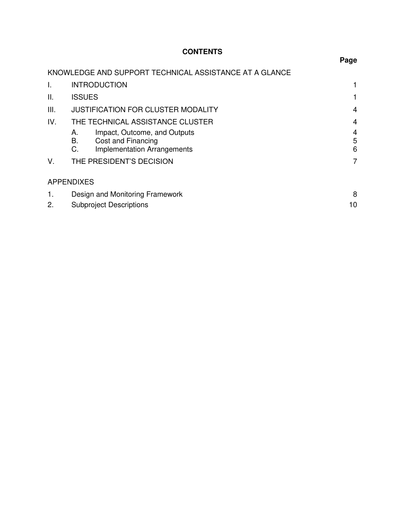# **CONTENTS**

|     |                                                                                                            | Page           |
|-----|------------------------------------------------------------------------------------------------------------|----------------|
|     | KNOWLEDGE AND SUPPORT TECHNICAL ASSISTANCE AT A GLANCE                                                     |                |
| I.  | <b>INTRODUCTION</b>                                                                                        |                |
| Ш.  | <b>ISSUES</b>                                                                                              |                |
| Ш.  | <b>JUSTIFICATION FOR CLUSTER MODALITY</b>                                                                  | $\overline{4}$ |
| IV. | THE TECHNICAL ASSISTANCE CLUSTER                                                                           | $\overline{4}$ |
|     | Impact, Outcome, and Outputs<br>Α.<br>В.<br>Cost and Financing<br>C.<br><b>Implementation Arrangements</b> | 4<br>5<br>6    |
| V.  | THE PRESIDENT'S DECISION                                                                                   | 7              |
|     | <b>APPENDIXES</b>                                                                                          |                |
| 1.  | Design and Monitoring Framework                                                                            | 8              |
| 2.  | <b>Subproject Descriptions</b>                                                                             | 10             |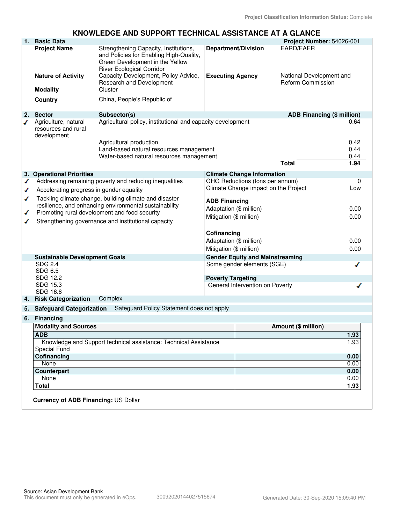## **KNOWLEDGE AND SUPPORT TECHNICAL ASSISTANCE AT A GLANCE**

| 1. | <b>Basic Data</b>                                          |                                                                                                                |                          |                                        | Project Number: 54026-001                            |      |
|----|------------------------------------------------------------|----------------------------------------------------------------------------------------------------------------|--------------------------|----------------------------------------|------------------------------------------------------|------|
|    | <b>Project Name</b>                                        | Strengthening Capacity, Institutions,                                                                          |                          | <b>Department/Division</b>             | EARD/EAER                                            |      |
|    |                                                            | and Policies for Enabling High-Quality,<br>Green Development in the Yellow<br><b>River Ecological Corridor</b> |                          |                                        |                                                      |      |
|    | <b>Nature of Activity</b><br><b>Modality</b>               | Capacity Development, Policy Advice,<br>Research and Development<br>Cluster                                    | <b>Executing Agency</b>  |                                        | National Development and<br><b>Reform Commission</b> |      |
|    |                                                            |                                                                                                                |                          |                                        |                                                      |      |
|    | <b>Country</b>                                             | China, People's Republic of                                                                                    |                          |                                        |                                                      |      |
| 2. | <b>Sector</b>                                              | Subsector(s)                                                                                                   |                          |                                        | <b>ADB Financing (\$ million)</b>                    |      |
| ✔  | Agriculture, natural<br>resources and rural<br>development | Agricultural policy, institutional and capacity development                                                    |                          |                                        |                                                      | 0.64 |
|    |                                                            | Agricultural production                                                                                        |                          |                                        |                                                      | 0.42 |
|    |                                                            | Land-based natural resources management                                                                        |                          |                                        |                                                      | 0.44 |
|    |                                                            | Water-based natural resources management                                                                       |                          |                                        |                                                      | 0.44 |
|    |                                                            |                                                                                                                |                          |                                        | <b>Total</b>                                         | 1.94 |
|    | 3. Operational Priorities                                  |                                                                                                                |                          | <b>Climate Change Information</b>      |                                                      |      |
| ✔  |                                                            | Addressing remaining poverty and reducing inequalities                                                         |                          | GHG Reductions (tons per annum)        |                                                      | 0    |
| ✔  | Accelerating progress in gender equality                   |                                                                                                                |                          | Climate Change impact on the Project   |                                                      | Low  |
| ✔  |                                                            | Tackling climate change, building climate and disaster                                                         | <b>ADB Financing</b>     |                                        |                                                      |      |
|    |                                                            | resilience, and enhancing environmental sustainability                                                         | Adaptation (\$ million)  |                                        |                                                      | 0.00 |
| ✔  |                                                            | Promoting rural development and food security<br>Mitigation (\$ million)<br>0.00                               |                          |                                        |                                                      |      |
| ✔  |                                                            | Strengthening governance and institutional capacity                                                            |                          |                                        |                                                      |      |
|    |                                                            |                                                                                                                | Cofinancing              |                                        |                                                      |      |
|    |                                                            |                                                                                                                | Adaptation (\$ million)  |                                        |                                                      | 0.00 |
|    |                                                            |                                                                                                                | Mitigation (\$ million)  |                                        |                                                      | 0.00 |
|    | <b>Sustainable Development Goals</b>                       |                                                                                                                |                          | <b>Gender Equity and Mainstreaming</b> |                                                      |      |
|    | SDG 2.4<br>SDG 6.5                                         |                                                                                                                |                          | Some gender elements (SGE)             |                                                      |      |
|    | SDG 12.2                                                   |                                                                                                                | <b>Poverty Targeting</b> |                                        |                                                      |      |
|    | SDG 15.3                                                   |                                                                                                                |                          | General Intervention on Poverty        |                                                      |      |
|    | SDG 16.6                                                   |                                                                                                                |                          |                                        |                                                      |      |
| 4. | <b>Risk Categorization</b>                                 | Complex                                                                                                        |                          |                                        |                                                      |      |
| 5. | <b>Safeguard Categorization</b>                            | Safeguard Policy Statement does not apply                                                                      |                          |                                        |                                                      |      |
|    | 6. Financing                                               |                                                                                                                |                          |                                        |                                                      |      |
|    | <b>Modality and Sources</b>                                |                                                                                                                |                          |                                        | Amount (\$ million)                                  |      |
|    | <b>ADB</b>                                                 |                                                                                                                |                          |                                        |                                                      | 1.93 |
|    | Special Fund                                               | Knowledge and Support technical assistance: Technical Assistance                                               |                          |                                        |                                                      | 1.93 |
|    | Cofinancing                                                |                                                                                                                |                          |                                        |                                                      | 0.00 |
|    | None                                                       |                                                                                                                |                          |                                        |                                                      | 0.00 |
|    | <b>Counterpart</b>                                         |                                                                                                                |                          |                                        |                                                      | 0.00 |
|    | None                                                       |                                                                                                                |                          |                                        |                                                      | 0.00 |
|    | <b>Total</b>                                               |                                                                                                                |                          |                                        |                                                      | 1.93 |
|    |                                                            |                                                                                                                |                          |                                        |                                                      |      |
|    | <b>Currency of ADB Financing: US Dollar</b>                |                                                                                                                |                          |                                        |                                                      |      |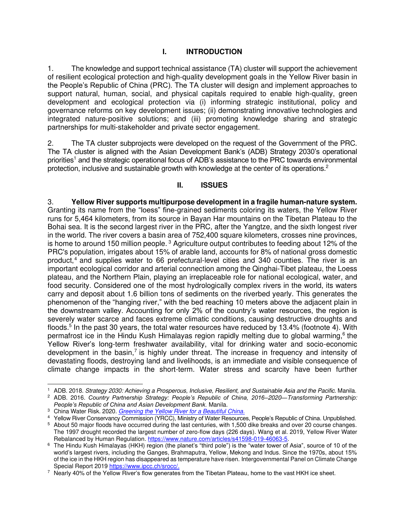## **I. INTRODUCTION**

1. The knowledge and support technical assistance (TA) cluster will support the achievement of resilient ecological protection and high-quality development goals in the Yellow River basin in the People's Republic of China (PRC). The TA cluster will design and implement approaches to support natural, human, social, and physical capitals required to enable high-quality, green development and ecological protection via (i) informing strategic institutional, policy and governance reforms on key development issues; (ii) demonstrating innovative technologies and integrated nature-positive solutions; and (iii) promoting knowledge sharing and strategic partnerships for multi-stakeholder and private sector engagement.

2. The TA cluster subprojects were developed on the request of the Government of the PRC. The TA cluster is aligned with the Asian Development Bank's (ADB) Strategy 2030's operational priorities<sup>1</sup> and the strategic operational focus of ADB's assistance to the PRC towards environmental protection, inclusive and sustainable growth with knowledge at the center of its operations.<sup>2</sup>

#### **II. ISSUES**

3. **Yellow River supports multipurpose development in a fragile human-nature system.** Granting its name from the "loess" fine-grained sediments coloring its waters, the Yellow River runs for 5,464 kilometers, from its source in Bayan Har mountains on the Tibetan Plateau to the Bohai sea. It is the second largest river in the PRC, after the Yangtze, and the sixth longest river in the world. The river covers a basin area of 752,400 square kilometers, crosses nine provinces, is home to around 150 million people.<sup>3</sup> Agriculture output contributes to feeding about 12% of the PRC's population, irrigates about 15% of arable land, accounts for 8% of national gross domestic product,<sup>4</sup> and supplies water to 66 prefectural-level cities and 340 counties. The river is an important ecological corridor and arterial connection among the Qinghai-Tibet plateau, the Loess plateau, and the Northern Plain, playing an irreplaceable role for national ecological, water, and food security. Considered one of the most hydrologically complex rivers in the world, its waters carry and deposit about 1.6 billion tons of sediments on the riverbed yearly. This generates the phenomenon of the "hanging river," with the bed reaching 10 meters above the adjacent plain in the downstream valley. Accounting for only 2% of the country's water resources, the region is severely water scarce and faces extreme climatic conditions, causing destructive droughts and floods.<sup>5</sup> In the past 30 years, the total water resources have reduced by 13.4% (footnote 4). With permafrost ice in the Hindu Kush Himalayas region rapidly melting due to global warming,<sup>6</sup> the Yellow River's long-term freshwater availability, vital for drinking water and socio-economic development in the basin,<sup>7</sup> is highly under threat. The increase in frequency and intensity of devastating floods, destroying land and livelihoods, is an immediate and visible consequence of climate change impacts in the short-term. Water stress and scarcity have been further

<sup>1</sup> ADB. 2018. *Strategy 2030: Achieving a Prosperous, Inclusive, Resilient, and Sustainable Asia and the Pacific*. Manila.

<sup>2</sup> ADB. 2016. *Country Partnership Strategy: People's Republic of China, 2016–2020—Transforming Partnership: People's Republic of China and Asian Development Bank.* Manila.

<sup>3</sup> China Water Risk. 2020. *[Greening the Yellow River for a Beautiful China.](https://www.chinawaterrisk.org/opinions/greening-the-yellow-river-for-a-beautiful-china/)*

<sup>4</sup> Yellow River Conservancy Commission (YRCC), Ministry of Water Resources, People's Republic of China. Unpublished.

<sup>5</sup> About 50 major floods have occurred during the last centuries, with 1,500 dike breaks and over 20 course changes. The 1997 drought recorded the largest number of zero-flow days (226 days). Wang et al. 2019, Yellow River Water Rebalanced by Human Regulation[. https://www.nature.com/articles/s41598-019-46063-5.](https://www.nature.com/articles/s41598-019-46063-5)

 $^6\,$  The Hindu Kush Himalayas (HKH) region (the planet's "third pole") is the "water tower of Asia", source of 10 of the world's largest rivers, including the Ganges, Brahmaputra, Yellow, Mekong and Indus. Since the 1970s, about 15% of the ice in the HKH region has disappeared as temperature have risen. Intergovernmental Panel on Climate Change Special Report 2019 [https://www.ipcc.ch/srocc/.](https://www.ipcc.ch/srocc/)

 $^7\,$  Nearly 40% of the Yellow River's flow generates from the Tibetan Plateau, home to the vast HKH ice sheet.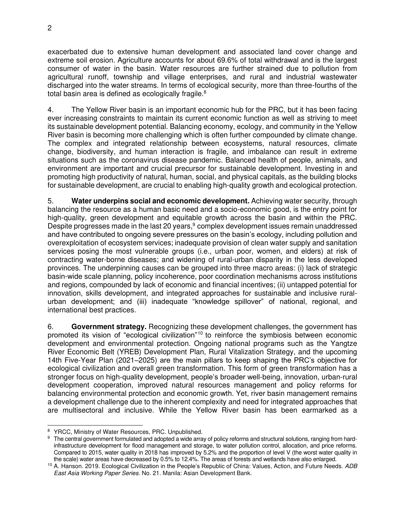exacerbated due to extensive human development and associated land cover change and extreme soil erosion. Agriculture accounts for about 69.6% of total withdrawal and is the largest consumer of water in the basin. Water resources are further strained due to pollution from agricultural runoff, township and village enterprises, and rural and industrial wastewater discharged into the water streams. In terms of ecological security, more than three-fourths of the total basin area is defined as ecologically fragile. $8$ 

4. The Yellow River basin is an important economic hub for the PRC, but it has been facing ever increasing constraints to maintain its current economic function as well as striving to meet its sustainable development potential. Balancing economy, ecology, and community in the Yellow River basin is becoming more challenging which is often further compounded by climate change. The complex and integrated relationship between ecosystems, natural resources, climate change, biodiversity, and human interaction is fragile, and imbalance can result in extreme situations such as the coronavirus disease pandemic. Balanced health of people, animals, and environment are important and crucial precursor for sustainable development. Investing in and promoting high productivity of natural, human, social, and physical capitals, as the building blocks for sustainable development, are crucial to enabling high-quality growth and ecological protection.

5. **Water underpins social and economic development.** Achieving water security, through balancing the resource as a human basic need and a socio-economic good, is the entry point for high-quality, green development and equitable growth across the basin and within the PRC. Despite progresses made in the last 20 years,<sup>9</sup> complex development issues remain unaddressed and have contributed to ongoing severe pressures on the basin's ecology, including pollution and overexploitation of ecosystem services; inadequate provision of clean water supply and sanitation services posing the most vulnerable groups (i.e., urban poor, women, and elders) at risk of contracting water-borne diseases; and widening of rural-urban disparity in the less developed provinces. The underpinning causes can be grouped into three macro areas: (i) lack of strategic basin-wide scale planning, policy incoherence, poor coordination mechanisms across institutions and regions, compounded by lack of economic and financial incentives; (ii) untapped potential for innovation, skills development, and integrated approaches for sustainable and inclusive ruralurban development; and (iii) inadequate "knowledge spillover" of national, regional, and international best practices.

6. **Government strategy.** Recognizing these development challenges, the government has promoted its vision of "ecological civilization"<sup>10</sup> to reinforce the symbiosis between economic development and environmental protection. Ongoing national programs such as the Yangtze River Economic Belt (YREB) Development Plan, Rural Vitalization Strategy, and the upcoming 14th Five-Year Plan (2021–2025) are the main pillars to keep shaping the PRC's objective for ecological civilization and overall green transformation. This form of green transformation has a stronger focus on high-quality development, people's broader well-being, innovation, urban-rural development cooperation, improved natural resources management and policy reforms for balancing environmental protection and economic growth. Yet, river basin management remains a development challenge due to the inherent complexity and need for integrated approaches that are multisectoral and inclusive. While the Yellow River basin has been earmarked as a

<sup>&</sup>lt;sup>8</sup> YRCC, Ministry of Water Resources, PRC. Unpublished.

 $^9$  The central government formulated and adopted a wide array of policy reforms and structural solutions, ranging from hardinfrastructure development for flood management and storage, to water pollution control, allocation, and price reforms. Compared to 2015, water quality in 2018 has improved by 5.2% and the proportion of level V (the worst water quality in the scale) water areas have decreased by 0.5% to 12.4%. The areas of forests and wetlands have also enlarged.

<sup>10</sup> A. Hanson. 2019. Ecological Civilization in the People's Republic of China: Values, Action, and Future Needs. *ADB East Asia Working Paper Series.* No. 21. Manila: Asian Development Bank.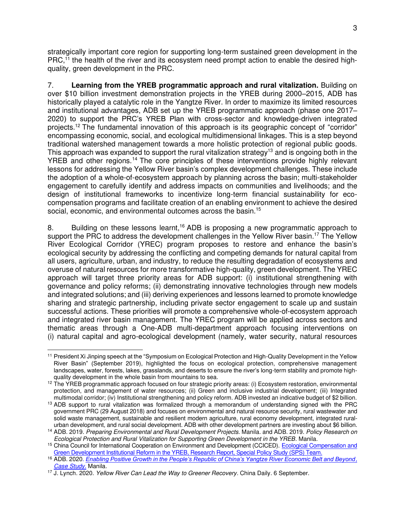strategically important core region for supporting long-term sustained green development in the  $PRC<sub>11</sub>$  the health of the river and its ecosystem need prompt action to enable the desired highquality, green development in the PRC.

7. **Learning from the YREB programmatic approach and rural vitalization.** Building on over \$10 billion investment demonstration projects in the YREB during 2000–2015, ADB has historically played a catalytic role in the Yangtze River. In order to maximize its limited resources and institutional advantages, ADB set up the YREB programmatic approach (phase one 2017– 2020) to support the PRC's YREB Plan with cross-sector and knowledge-driven integrated projects.<sup>12</sup> The fundamental innovation of this approach is its geographic concept of "corridor" encompassing economic, social, and ecological multidimensional linkages. This is a step beyond traditional watershed management towards a more holistic protection of regional public goods. This approach was expanded to support the rural vitalization strategy<sup>13</sup> and is ongoing both in the YREB and other regions.<sup>14</sup> The core principles of these interventions provide highly relevant lessons for addressing the Yellow River basin's complex development challenges. These include the adoption of a whole-of-ecosystem approach by planning across the basin; multi-stakeholder engagement to carefully identify and address impacts on communities and livelihoods; and the design of institutional frameworks to incentivize long-term financial sustainability for ecocompensation programs and facilitate creation of an enabling environment to achieve the desired social, economic, and environmental outcomes across the basin.<sup>15</sup>

8. Building on these lessons learnt,<sup>16</sup> ADB is proposing a new programmatic approach to support the PRC to address the development challenges in the Yellow River basin.<sup>17</sup> The Yellow River Ecological Corridor (YREC) program proposes to restore and enhance the basin's ecological security by addressing the conflicting and competing demands for natural capital from all users, agriculture, urban, and industry, to reduce the resulting degradation of ecosystems and overuse of natural resources for more transformative high-quality, green development. The YREC approach will target three priority areas for ADB support: (i) institutional strengthening with governance and policy reforms; (ii) demonstrating innovative technologies through new models and integrated solutions; and (iii) deriving experiences and lessons learned to promote knowledge sharing and strategic partnership, including private sector engagement to scale up and sustain successful actions. These priorities will promote a comprehensive whole-of-ecosystem approach and integrated river basin management. The YREC program will be applied across sectors and thematic areas through a One-ADB multi-department approach focusing interventions on (i) natural capital and agro-ecological development (namely, water security, natural resources

<sup>&</sup>lt;sup>11</sup> President Xi Jinping speech at the "Symposium on Ecological Protection and High-Quality Development in the Yellow River Basin" (September 2019), highlighted the focus on ecological protection, comprehensive management landscapes, water, forests, lakes, grasslands, and deserts to ensure the river's long-term stability and promote highquality development in the whole basin from mountains to sea.

 $12$  The YREB programmatic approach focused on four strategic priority areas: (i) Ecosystem restoration, environmental protection, and management of water resources; (ii) Green and inclusive industrial development; (iii) Integrated multimodal corridor; (iv) Institutional strengthening and policy reform. ADB invested an indicative budget of \$2 billion.

<sup>13</sup> ADB support to rural vitalization was formalized through a memorandum of understanding signed with the PRC government PRC (29 August 2018) and focuses on environmental and natural resource security, rural wastewater and solid waste management, sustainable and resilient modern agriculture, rural economy development, integrated ruralurban development, and rural social development. ADB with other development partners are investing about \$6 billion.

<sup>14</sup> ADB. 2019. *Preparing Environmental and Rural Development Projects*. Manila. and ADB. 2019. *Policy Research on Ecological Protection and Rural Vitalization for Supporting Green Development in the YREB*. Manila.

<sup>&</sup>lt;sup>15</sup> China Council for International Cooperation on Environment and Development (CCICED). Ecological Compensation and [Green Development Institutional Reform in the YREB, Research Report, Special Policy Study \(SPS\) Team.](https://cciced.eco/wp-content/uploads/2020/06/cciced-sps-2-2-yangtze.pdf)

<sup>16</sup> ADB. 2020. *[Enabling Positive Growth in the People's Republic of China's Yangtze River Economic Belt and Beyond](https://www.adb.org/results/enabling-nature-positive-growth-peoples-republic-chinas-yangtze-river-economic-belt), [Case Study.](https://www.adb.org/results/enabling-nature-positive-growth-peoples-republic-chinas-yangtze-river-economic-belt)* Manila.

<sup>17</sup> J. Lynch. 2020. *[Yellow River Can Lead the Way to Greener Recovery.](http://www.chinadaily.com.cn/a/202006/09/WS5eded036a310834817251a6e.html)* China Daily. 6 September.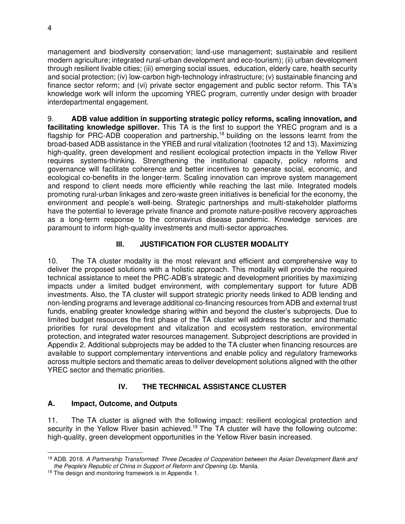management and biodiversity conservation; land-use management; sustainable and resilient modern agriculture; integrated rural-urban development and eco-tourism); (ii) urban development through resilient livable cities; (iii) emerging social issues, education, elderly care, health security and social protection; (iv) low-carbon high-technology infrastructure; (v) sustainable financing and finance sector reform; and (vi) private sector engagement and public sector reform. This TA's knowledge work will inform the upcoming YREC program, currently under design with broader interdepartmental engagement.

9. **ADB value addition in supporting strategic policy reforms, scaling innovation, and facilitating knowledge spillover.** This TA is the first to support the YREC program and is a flagship for PRC-ADB cooperation and partnership,<sup>18</sup> building on the lessons learnt from the broad-based ADB assistance in the YREB and rural vitalization (footnotes 12 and 13). Maximizing high-quality, green development and resilient ecological protection impacts in the Yellow River requires systems-thinking. Strengthening the institutional capacity, policy reforms and governance will facilitate coherence and better incentives to generate social, economic, and ecological co-benefits in the longer-term. Scaling innovation can improve system management and respond to client needs more efficiently while reaching the last mile. Integrated models promoting rural-urban linkages and zero-waste green initiatives is beneficial for the economy, the environment and people's well-being. Strategic partnerships and multi-stakeholder platforms have the potential to leverage private finance and promote nature-positive recovery approaches as a long-term response to the coronavirus disease pandemic. Knowledge services are paramount to inform high-quality investments and multi-sector approaches.

## **III. JUSTIFICATION FOR CLUSTER MODALITY**

10. The TA cluster modality is the most relevant and efficient and comprehensive way to deliver the proposed solutions with a holistic approach. This modality will provide the required technical assistance to meet the PRC-ADB's strategic and development priorities by maximizing impacts under a limited budget environment, with complementary support for future ADB investments. Also, the TA cluster will support strategic priority needs linked to ADB lending and non-lending programs and leverage additional co-financing resources from ADB and external trust funds, enabling greater knowledge sharing within and beyond the cluster's subprojects. Due to limited budget resources the first phase of the TA cluster will address the sector and thematic priorities for rural development and vitalization and ecosystem restoration, environmental protection, and integrated water resources management. Subproject descriptions are provided in Appendix 2. Additional subprojects may be added to the TA cluster when financing resources are available to support complementary interventions and enable policy and regulatory frameworks across multiple sectors and thematic areas to deliver development solutions aligned with the other YREC sector and thematic priorities.

# **IV. THE TECHNICAL ASSISTANCE CLUSTER**

# **A. Impact, Outcome, and Outputs**

11. The TA cluster is aligned with the following impact: resilient ecological protection and security in the Yellow River basin achieved.<sup>19</sup> The TA cluster will have the following outcome: high-quality, green development opportunities in the Yellow River basin increased.

<sup>18</sup> ADB. 2018. *A Partnership Transformed*: *Three Decades of Cooperation between the Asian Development Bank and the People's Republic of China in Support of Reform and Opening Up.* Manila.

<sup>&</sup>lt;sup>19</sup> The design and monitoring framework is in Appendix 1.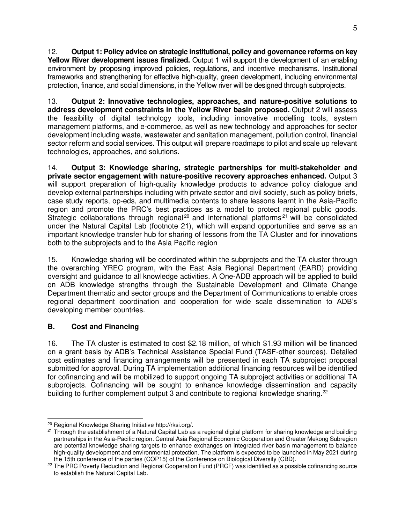12. **Output 1: Policy advice on strategic institutional, policy and governance reforms on key Yellow River development issues finalized.** Output 1 will support the development of an enabling environment by proposing improved policies, regulations, and incentive mechanisms. Institutional frameworks and strengthening for effective high-quality, green development, including environmental protection, finance, and social dimensions, in the Yellow river will be designed through subprojects.

13. **Output 2: Innovative technologies, approaches, and nature-positive solutions to address development constraints in the Yellow River basin proposed.** Output 2 will assess the feasibility of digital technology tools, including innovative modelling tools, system management platforms, and e-commerce, as well as new technology and approaches for sector development including waste, wastewater and sanitation management, pollution control, financial sector reform and social services. This output will prepare roadmaps to pilot and scale up relevant technologies, approaches, and solutions.

14. **Output 3: Knowledge sharing, strategic partnerships for multi-stakeholder and private sector engagement with nature-positive recovery approaches enhanced.** Output 3 will support preparation of high-quality knowledge products to advance policy dialogue and develop external partnerships including with private sector and civil society, such as policy briefs, case study reports, op-eds, and multimedia contents to share lessons learnt in the Asia-Pacific region and promote the PRC's best practices as a model to protect regional public goods. Strategic collaborations through regional<sup>20</sup> and international platforms<sup>21</sup> will be consolidated under the Natural Capital Lab (footnote 21), which will expand opportunities and serve as an important knowledge transfer hub for sharing of lessons from the TA Cluster and for innovations both to the subprojects and to the Asia Pacific region

15. Knowledge sharing will be coordinated within the subprojects and the TA cluster through the overarching YREC program, with the East Asia Regional Department (EARD) providing oversight and guidance to all knowledge activities. A One-ADB approach will be applied to build on ADB knowledge strengths through the Sustainable Development and Climate Change Department thematic and sector groups and the Department of Communications to enable cross regional department coordination and cooperation for wide scale dissemination to ADB's developing member countries.

# **B. Cost and Financing**

16. The TA cluster is estimated to cost \$2.18 million, of which \$1.93 million will be financed on a grant basis by ADB's Technical Assistance Special Fund (TASF-other sources). Detailed cost estimates and financing arrangements will be presented in each TA subproject proposal submitted for approval. During TA implementation additional financing resources will be identified for cofinancing and will be mobilized to support ongoing TA subproject activities or additional TA subprojects. Cofinancing will be sought to enhance knowledge dissemination and capacity building to further complement output 3 and contribute to regional knowledge sharing.<sup>22</sup>

<sup>20</sup> Regional Knowledge Sharing Initiative http://rksi.org/.

<sup>&</sup>lt;sup>21</sup> Through the establishment of a Natural Capital Lab as a regional digital platform for sharing knowledge and building partnerships in the Asia-Pacific region. Central Asia Regional Economic Cooperation and Greater Mekong Subregion are potential knowledge sharing targets to enhance exchanges on integrated river basin management to balance high-quality development and environmental protection. The platform is expected to be launched in May 2021 during the 15th conference of the parties (COP15) of the Conference on Biological Diversity (CBD).

<sup>&</sup>lt;sup>22</sup> The PRC Poverty Reduction and Regional Cooperation Fund (PRCF) was identified as a possible cofinancing source to establish the Natural Capital Lab.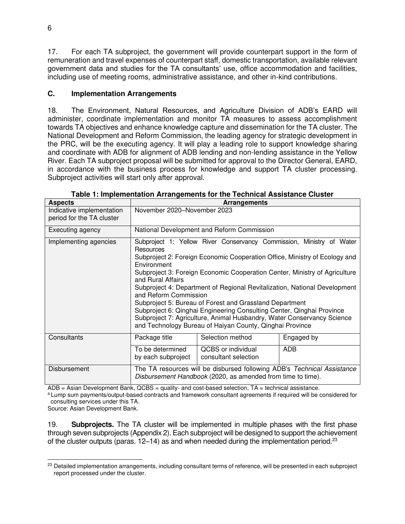17. For each TA subproject, the government will provide counterpart support in the form of remuneration and travel expenses of counterpart staff, domestic transportation, available relevant government data and studies for the TA consultants' use, office accommodation and facilities, including use of meeting rooms, administrative assistance, and other in-kind contributions.

## **C. Implementation Arrangements**

18. The Environment, Natural Resources, and Agriculture Division of ADB's EARD will administer, coordinate implementation and monitor TA measures to assess accomplishment towards TA objectives and enhance knowledge capture and dissemination for the TA cluster. The National Development and Reform Commission, the leading agency for strategic development in the PRC, will be the executing agency. It will play a leading role to support knowledge sharing and coordinate with ADB for alignment of ADB lending and non-lending assistance in the Yellow River. Each TA subproject proposal will be submitted for approval to the Director General, EARD, in accordance with the business process for knowledge and support TA cluster processing. Subproject activities will start only after approval.

| <b>Aspects</b>                                         |                                                                                                                                                                                                                                                                                                                                                                                                                                                                                                                                                                                                                                                                   | <u>rasio il impichionation Antangonionto for the recinitoal Accidentee Chastel</u><br><b>Arrangements</b>                              |            |
|--------------------------------------------------------|-------------------------------------------------------------------------------------------------------------------------------------------------------------------------------------------------------------------------------------------------------------------------------------------------------------------------------------------------------------------------------------------------------------------------------------------------------------------------------------------------------------------------------------------------------------------------------------------------------------------------------------------------------------------|----------------------------------------------------------------------------------------------------------------------------------------|------------|
| Indicative implementation<br>period for the TA cluster | November 2020-November 2023                                                                                                                                                                                                                                                                                                                                                                                                                                                                                                                                                                                                                                       |                                                                                                                                        |            |
| Executing agency                                       |                                                                                                                                                                                                                                                                                                                                                                                                                                                                                                                                                                                                                                                                   | National Development and Reform Commission                                                                                             |            |
| Implementing agencies                                  | Subproject 1: Yellow River Conservancy Commission, Ministry of Water<br>Resources<br>Subproject 2: Foreign Economic Cooperation Office, Ministry of Ecology and<br>Environment<br>Subproject 3: Foreign Economic Cooperation Center, Ministry of Agriculture<br>and Rural Affairs<br>Subproject 4: Department of Regional Revitalization, National Development<br>and Reform Commission<br>Subproject 5: Bureau of Forest and Grassland Department<br>Subproject 6: Qinghai Engineering Consulting Center, Qinghai Province<br>Subproject 7: Agriculture, Animal Husbandry, Water Conservancy Science<br>and Technology Bureau of Haiyan County, Qinghai Province |                                                                                                                                        |            |
| Consultants                                            | Package title                                                                                                                                                                                                                                                                                                                                                                                                                                                                                                                                                                                                                                                     | Selection method                                                                                                                       | Engaged by |
|                                                        | To be determined<br>by each subproject                                                                                                                                                                                                                                                                                                                                                                                                                                                                                                                                                                                                                            | <b>QCBS</b> or individual<br>consultant selection                                                                                      | <b>ADB</b> |
| <b>Disbursement</b>                                    |                                                                                                                                                                                                                                                                                                                                                                                                                                                                                                                                                                                                                                                                   | The TA resources will be disbursed following ADB's Technical Assistance<br>Disbursement Handbook (2020, as amended from time to time). |            |

**Table 1: Implementation Arrangements for the Technical Assistance Cluster**

ADB = Asian Development Bank, QCBS = quality- and cost-based selection, TA = technical assistance.

a Lump sum payments/output-based contracts and framework consultant agreements if required will be considered for consulting services under this TA.

Source: Asian Development Bank.

19. **Subprojects.** The TA cluster will be implemented in multiple phases with the first phase through seven subprojects (Appendix 2). Each subproject will be designed to support the achievement of the cluster outputs (paras.  $12-14$ ) as and when needed during the implementation period.<sup>23</sup>

<sup>&</sup>lt;sup>23</sup> Detailed implementation arrangements, including consultant terms of reference, will be presented in each subproject report processed under the cluster.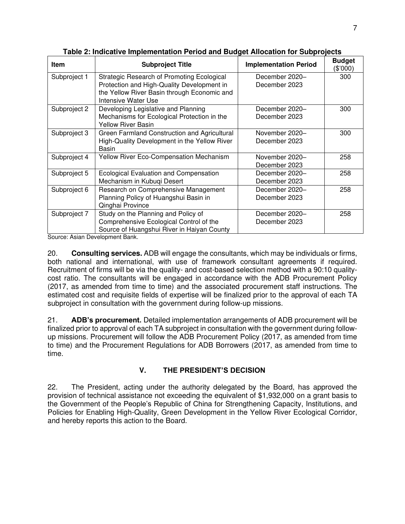| <b>Item</b>  | <b>Subproject Title</b>                                                                   | <b>Implementation Period</b> | <b>Budget</b><br>(\$'000) |
|--------------|-------------------------------------------------------------------------------------------|------------------------------|---------------------------|
| Subproject 1 | Strategic Research of Promoting Ecological                                                | December 2020-               | 300                       |
|              | Protection and High-Quality Development in<br>the Yellow River Basin through Economic and | December 2023                |                           |
|              | Intensive Water Use                                                                       |                              |                           |
| Subproject 2 | Developing Legislative and Planning                                                       | December 2020-               | 300                       |
|              | Mechanisms for Ecological Protection in the                                               | December 2023                |                           |
|              | <b>Yellow River Basin</b>                                                                 |                              |                           |
| Subproject 3 | Green Farmland Construction and Agricultural                                              | November 2020-               | 300                       |
|              | High-Quality Development in the Yellow River<br>Basin                                     | December 2023                |                           |
| Subproject 4 | Yellow River Eco-Compensation Mechanism                                                   | November 2020-               | 258                       |
|              |                                                                                           | December 2023                |                           |
| Subproject 5 | <b>Ecological Evaluation and Compensation</b>                                             | December 2020-               | 258                       |
|              | Mechanism in Kubuqi Desert                                                                | December 2023                |                           |
| Subproject 6 | Research on Comprehensive Management                                                      | December 2020-               | 258                       |
|              | Planning Policy of Huangshui Basin in                                                     | December 2023                |                           |
|              | Qinghai Province                                                                          |                              |                           |
| Subproject 7 | Study on the Planning and Policy of                                                       | December 2020-               | 258                       |
|              | Comprehensive Ecological Control of the                                                   | December 2023                |                           |
|              | Source of Huangshui River in Haiyan County                                                |                              |                           |

**Table 2: Indicative Implementation Period and Budget Allocation for Subprojects**

Source: Asian Development Bank.

20. **Consulting services.** ADB will engage the consultants, which may be individuals or firms, both national and international, with use of framework consultant agreements if required. Recruitment of firms will be via the quality- and cost-based selection method with a 90:10 qualitycost ratio. The consultants will be engaged in accordance with the ADB Procurement Policy (2017, as amended from time to time) and the associated procurement staff instructions. The estimated cost and requisite fields of expertise will be finalized prior to the approval of each TA subproject in consultation with the government during follow-up missions.

21. **ADB's procurement.** Detailed implementation arrangements of ADB procurement will be finalized prior to approval of each TA subproject in consultation with the government during followup missions. Procurement will follow the ADB Procurement Policy (2017, as amended from time to time) and the Procurement Regulations for ADB Borrowers (2017, as amended from time to time.

# **V. THE PRESIDENT'S DECISION**

22. The President, acting under the authority delegated by the Board, has approved the provision of technical assistance not exceeding the equivalent of \$1,932,000 on a grant basis to the Government of the People's Republic of China for Strengthening Capacity, Institutions, and Policies for Enabling High-Quality, Green Development in the Yellow River Ecological Corridor, and hereby reports this action to the Board.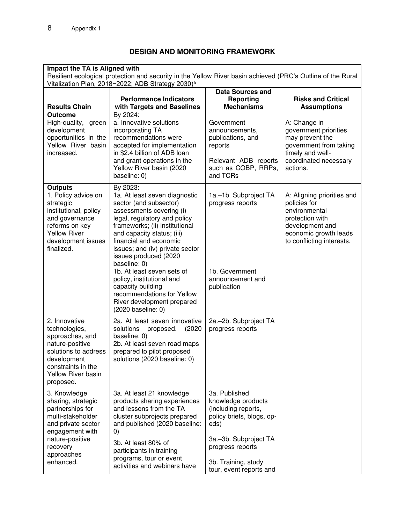## **DESIGN AND MONITORING FRAMEWORK**

| Impact the TA is Aligned with                                                                                                                                                  | Resilient ecological protection and security in the Yellow River basin achieved (PRC's Outline of the Rural<br>Vitalization Plan, 2018-2022; ADB Strategy 2030) <sup>a</sup>                                                                                                                                                                                                                                                                                            |                                                                                                                                                                                                |                                                                                                                                                         |
|--------------------------------------------------------------------------------------------------------------------------------------------------------------------------------|-------------------------------------------------------------------------------------------------------------------------------------------------------------------------------------------------------------------------------------------------------------------------------------------------------------------------------------------------------------------------------------------------------------------------------------------------------------------------|------------------------------------------------------------------------------------------------------------------------------------------------------------------------------------------------|---------------------------------------------------------------------------------------------------------------------------------------------------------|
| <b>Results Chain</b>                                                                                                                                                           | <b>Performance Indicators</b><br>with Targets and Baselines                                                                                                                                                                                                                                                                                                                                                                                                             | <b>Data Sources and</b><br>Reporting<br><b>Mechanisms</b>                                                                                                                                      | <b>Risks and Critical</b><br><b>Assumptions</b>                                                                                                         |
| <b>Outcome</b><br>High-quality,<br>green<br>development<br>opportunities in the<br>Yellow River basin<br>increased.                                                            | By 2024:<br>a. Innovative solutions<br>incorporating TA<br>recommendations were<br>accepted for implementation<br>in \$2.4 billion of ADB loan<br>and grant operations in the<br>Yellow River basin (2020<br>baseline: 0)                                                                                                                                                                                                                                               | Government<br>announcements,<br>publications, and<br>reports<br>Relevant ADB reports<br>such as COBP, RRPs,<br>and TCRs                                                                        | A: Change in<br>government priorities<br>may prevent the<br>government from taking<br>timely and well-<br>coordinated necessary<br>actions.             |
| <b>Outputs</b><br>1. Policy advice on<br>strategic<br>institutional, policy<br>and governance<br>reforms on key<br><b>Yellow River</b><br>development issues<br>finalized.     | By 2023:<br>1a. At least seven diagnostic<br>sector (and subsector)<br>assessments covering (i)<br>legal, regulatory and policy<br>frameworks; (ii) institutional<br>and capacity status; (iii)<br>financial and economic<br>issues; and (iv) private sector<br>issues produced (2020<br>baseline: 0)<br>1b. At least seven sets of<br>policy, institutional and<br>capacity building<br>recommendations for Yellow<br>River development prepared<br>(2020 baseline: 0) | 1a.–1b. Subproject TA<br>progress reports<br>1b. Government<br>announcement and<br>publication                                                                                                 | A: Aligning priorities and<br>policies for<br>environmental<br>protection with<br>development and<br>economic growth leads<br>to conflicting interests. |
| 2. Innovative<br>technologies,<br>approaches, and<br>nature-positive<br>solutions to address<br>development<br>constraints in the<br>Yellow River basin<br>proposed.           | 2a. At least seven innovative<br>solutions<br>(2020)<br>proposed.<br>baseline: 0)<br>2b. At least seven road maps<br>prepared to pilot proposed<br>solutions (2020 baseline: 0)                                                                                                                                                                                                                                                                                         | 2a.–2b. Subproject TA<br>progress reports                                                                                                                                                      |                                                                                                                                                         |
| 3. Knowledge<br>sharing, strategic<br>partnerships for<br>multi-stakeholder<br>and private sector<br>engagement with<br>nature-positive<br>recovery<br>approaches<br>enhanced. | 3a. At least 21 knowledge<br>products sharing experiences<br>and lessons from the TA<br>cluster subprojects prepared<br>and published (2020 baseline:<br>$\left( 0\right)$<br>3b. At least 80% of<br>participants in training<br>programs, tour or event<br>activities and webinars have                                                                                                                                                                                | 3a. Published<br>knowledge products<br>(including reports,<br>policy briefs, blogs, op-<br>eds)<br>3a.-3b. Subproject TA<br>progress reports<br>3b. Training, study<br>tour, event reports and |                                                                                                                                                         |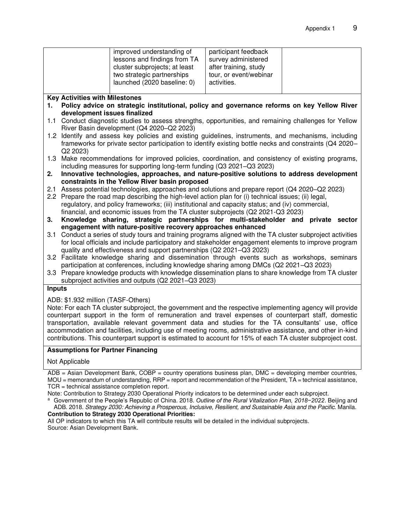#### **Key Activities with Milestones**

- **1. Policy advice on strategic institutional, policy and governance reforms on key Yellow River development issues finalized**
- 1.1 Conduct diagnostic studies to assess strengths, opportunities, and remaining challenges for Yellow River Basin development (Q4 2020–Q2 2023)
- 1.2 Identify and assess key policies and existing guidelines, instruments, and mechanisms, including frameworks for private sector participation to identify existing bottle necks and constraints (Q4 2020– Q2 2023)
- 1.3 Make recommendations for improved policies, coordination, and consistency of existing programs, including measures for supporting long-term funding (Q3 2021–Q3 2023)
- **2. Innovative technologies, approaches, and nature-positive solutions to address development constraints in the Yellow River basin proposed**
- 2.1 Assess potential technologies, approaches and solutions and prepare report (Q4 2020–Q2 2023)
- 2.2 Prepare the road map describing the high-level action plan for (i) technical issues; (ii) legal, regulatory, and policy frameworks; (iii) institutional and capacity status; and (iv) commercial, financial, and economic issues from the TA cluster subprojects (Q2 2021-Q3 2023)
- **3. Knowledge sharing, strategic partnerships for multi-stakeholder and private sector engagement with nature-positive recovery approaches enhanced**
- 3.1 Conduct a series of study tours and training programs aligned with the TA cluster subproject activities for local officials and include participatory and stakeholder engagement elements to improve program quality and effectiveness and support partnerships (Q2 2021–Q3 2023)
- 3.2 Facilitate knowledge sharing and dissemination through events such as workshops, seminars participation at conferences, including knowledge sharing among DMCs (Q2 2021–Q3 2023)
- 3.3 Prepare knowledge products with knowledge dissemination plans to share knowledge from TA cluster subproject activities and outputs (Q2 2021–Q3 2023)

#### **Inputs**

#### ADB: \$1.932 million (TASF-Others)

Note: For each TA cluster subproject, the government and the respective implementing agency will provide counterpart support in the form of remuneration and travel expenses of counterpart staff, domestic transportation, available relevant government data and studies for the TA consultants' use, office accommodation and facilities, including use of meeting rooms, administrative assistance, and other in-kind contributions. This counterpart support is estimated to account for 15% of each TA cluster subproject cost.

#### **Assumptions for Partner Financing**

#### Not Applicable

 $ADB = Asian Development Bank, COBP = country operations business plan, DMC = developing member countries,$ MOU = memorandum of understanding, RRP = report and recommendation of the President, TA = technical assistance, TCR = technical assistance completion report.

Note: Contribution to Strategy 2030 Operational Priority indicators to be determined under each subproject.

## **Contribution to Strategy 2030 Operational Priorities:**

All OP indicators to which this TA will contribute results will be detailed in the individual subprojects. Source: Asian Development Bank.

a Government of the People's Republic of China. 2018. *Outline of the Rural Vitalization Plan, 2018−2022*. Beijing and ADB. 2018. *Strategy 2030: Achieving a Prosperous, Inclusive, Resilient, and Sustainable Asia and the Pacific*. Manila.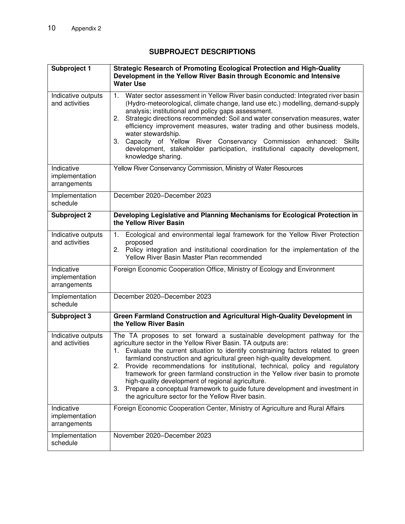# **SUBPROJECT DESCRIPTIONS**

| Subproject 1                                 | Strategic Research of Promoting Ecological Protection and High-Quality<br>Development in the Yellow River Basin through Economic and Intensive<br><b>Water Use</b>                                                                                                                                                                                                                                                                                                                                                                                                                                                                                                                 |
|----------------------------------------------|------------------------------------------------------------------------------------------------------------------------------------------------------------------------------------------------------------------------------------------------------------------------------------------------------------------------------------------------------------------------------------------------------------------------------------------------------------------------------------------------------------------------------------------------------------------------------------------------------------------------------------------------------------------------------------|
| Indicative outputs<br>and activities         | Water sector assessment in Yellow River basin conducted: Integrated river basin<br>1 <sub>1</sub><br>(Hydro-meteorological, climate change, land use etc.) modelling, demand-supply<br>analysis; institutional and policy gaps assessment.<br>Strategic directions recommended: Soil and water conservation measures, water<br>2.<br>efficiency improvement measures, water trading and other business models,<br>water stewardship.<br>3. Capacity of Yellow River Conservancy Commission enhanced: Skills<br>development, stakeholder participation, institutional capacity development,<br>knowledge sharing.                                                                   |
| Indicative<br>implementation<br>arrangements | Yellow River Conservancy Commission, Ministry of Water Resources                                                                                                                                                                                                                                                                                                                                                                                                                                                                                                                                                                                                                   |
| Implementation<br>schedule                   | December 2020-December 2023                                                                                                                                                                                                                                                                                                                                                                                                                                                                                                                                                                                                                                                        |
| <b>Subproject 2</b>                          | Developing Legislative and Planning Mechanisms for Ecological Protection in<br>the Yellow River Basin                                                                                                                                                                                                                                                                                                                                                                                                                                                                                                                                                                              |
| Indicative outputs<br>and activities         | Ecological and environmental legal framework for the Yellow River Protection<br>1.<br>proposed<br>Policy integration and institutional coordination for the implementation of the<br>2.<br>Yellow River Basin Master Plan recommended                                                                                                                                                                                                                                                                                                                                                                                                                                              |
| Indicative<br>implementation<br>arrangements | Foreign Economic Cooperation Office, Ministry of Ecology and Environment                                                                                                                                                                                                                                                                                                                                                                                                                                                                                                                                                                                                           |
| Implementation<br>schedule                   | December 2020-December 2023                                                                                                                                                                                                                                                                                                                                                                                                                                                                                                                                                                                                                                                        |
| Subproject 3                                 | Green Farmland Construction and Agricultural High-Quality Development in<br>the Yellow River Basin                                                                                                                                                                                                                                                                                                                                                                                                                                                                                                                                                                                 |
| Indicative outputs<br>and activities         | The TA proposes to set forward a sustainable development pathway for the<br>agriculture sector in the Yellow River Basin. TA outputs are:<br>1. Evaluate the current situation to identify constraining factors related to green<br>farmland construction and agricultural green high-quality development.<br>Provide recommendations for institutional, technical, policy and regulatory<br>2.<br>framework for green farmland construction in the Yellow river basin to promote<br>high-quality development of regional agriculture.<br>Prepare a conceptual framework to guide future development and investment in<br>3.<br>the agriculture sector for the Yellow River basin. |
| Indicative<br>implementation<br>arrangements | Foreign Economic Cooperation Center, Ministry of Agriculture and Rural Affairs                                                                                                                                                                                                                                                                                                                                                                                                                                                                                                                                                                                                     |
| Implementation<br>schedule                   | November 2020-December 2023                                                                                                                                                                                                                                                                                                                                                                                                                                                                                                                                                                                                                                                        |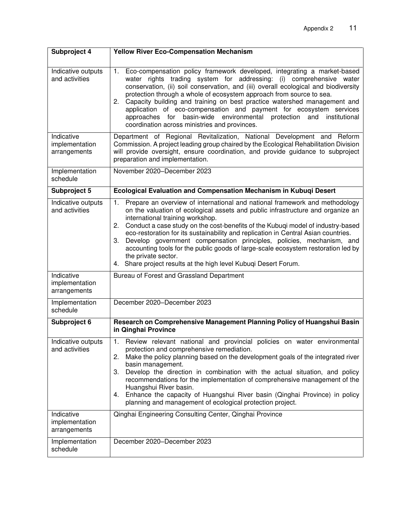| Subproject 4                                 | <b>Yellow River Eco-Compensation Mechanism</b>                                                                                                                                                                                                                                                                                                                                                                                                                                                                                                                                                                                                       |
|----------------------------------------------|------------------------------------------------------------------------------------------------------------------------------------------------------------------------------------------------------------------------------------------------------------------------------------------------------------------------------------------------------------------------------------------------------------------------------------------------------------------------------------------------------------------------------------------------------------------------------------------------------------------------------------------------------|
| Indicative outputs<br>and activities         | Eco-compensation policy framework developed, integrating a market-based<br>1.<br>water rights trading system for addressing: (i) comprehensive water<br>conservation, (ii) soil conservation, and (iii) overall ecological and biodiversity<br>protection through a whole of ecosystem approach from source to sea.<br>Capacity building and training on best practice watershed management and<br>2.<br>application of eco-compensation and payment for ecosystem services<br>approaches for basin-wide environmental protection<br>and<br>institutional<br>coordination across ministries and provinces.                                           |
| Indicative<br>implementation<br>arrangements | Department of Regional Revitalization, National Development and Reform<br>Commission. A project leading group chaired by the Ecological Rehabilitation Division<br>will provide oversight, ensure coordination, and provide guidance to subproject<br>preparation and implementation.                                                                                                                                                                                                                                                                                                                                                                |
| Implementation<br>schedule                   | November 2020-December 2023                                                                                                                                                                                                                                                                                                                                                                                                                                                                                                                                                                                                                          |
| Subproject 5                                 | Ecological Evaluation and Compensation Mechanism in Kubuqi Desert                                                                                                                                                                                                                                                                                                                                                                                                                                                                                                                                                                                    |
| Indicative outputs<br>and activities         | Prepare an overview of international and national framework and methodology<br>1.<br>on the valuation of ecological assets and public infrastructure and organize an<br>international training workshop.<br>Conduct a case study on the cost-benefits of the Kubuqi model of industry-based<br>2.<br>eco-restoration for its sustainability and replication in Central Asian countries.<br>Develop government compensation principles, policies, mechanism, and<br>3.<br>accounting tools for the public goods of large-scale ecosystem restoration led by<br>the private sector.<br>4. Share project results at the high level Kubuqi Desert Forum. |
| Indicative<br>implementation<br>arrangements | Bureau of Forest and Grassland Department                                                                                                                                                                                                                                                                                                                                                                                                                                                                                                                                                                                                            |
| Implementation<br>schedule                   | December 2020-December 2023                                                                                                                                                                                                                                                                                                                                                                                                                                                                                                                                                                                                                          |
| Subproject 6                                 | Research on Comprehensive Management Planning Policy of Huangshui Basin<br>in Qinghai Province                                                                                                                                                                                                                                                                                                                                                                                                                                                                                                                                                       |
| Indicative outputs<br>and activities         | Review relevant national and provincial policies on water environmental<br>$\overline{1}$ .<br>protection and comprehensive remediation.<br>Make the policy planning based on the development goals of the integrated river<br>2.<br>basin management.<br>3.<br>Develop the direction in combination with the actual situation, and policy<br>recommendations for the implementation of comprehensive management of the<br>Huangshui River basin.<br>Enhance the capacity of Huangshui River basin (Qinghai Province) in policy<br>4.<br>planning and management of ecological protection project.                                                   |
| Indicative<br>implementation<br>arrangements | Qinghai Engineering Consulting Center, Qinghai Province                                                                                                                                                                                                                                                                                                                                                                                                                                                                                                                                                                                              |
| Implementation<br>schedule                   | December 2020-December 2023                                                                                                                                                                                                                                                                                                                                                                                                                                                                                                                                                                                                                          |